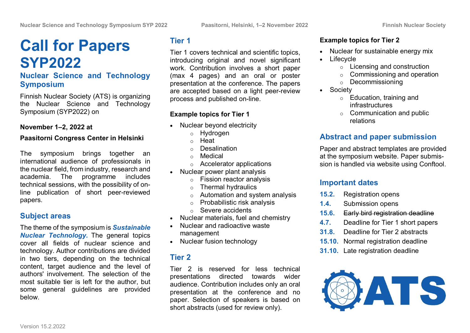# **[Call for Papers](https://vttjira.vtt.fi:9443/confluence/display/ATSFNS/SYP+2022+Call+for+Papers) SYP2022**

### **Nuclear Science and Technology Symposium**

Finnish Nuclear Society (ATS) is organizing the Nuclear Science and Technology Symposium (SYP2022) on

#### **November 1–2, 2022 at**

#### **Paasitorni Congress Center in Helsinki**

The symposium brings together an international audience of professionals in the nuclear field, from industry, research and academia. The programme includes technical sessions, with the possibility of online publication of short peer-reviewed papers.

# **Subject areas**

The theme of the symposium is *Sustainable Nuclear Technology.* The general topics cover all fields of nuclear science and technology. Author contributions are divided in two tiers, depending on the technical content, target audience and the level of authors' involvement. The selection of the most suitable tier is left for the author, but some general guidelines are provided below.

# **Tier 1**

Tier 1 covers technical and scientific topics, introducing original and novel significant work. Contribution involves a short paper (max 4 pages) and an oral or poster presentation at the conference. The papers are accepted based on a light peer-review process and published on-line.

### **Example topics for Tier 1**

- Nuclear beyond electricity
	- o Hydrogen
	- o Heat
	- o Desalination
	- o Medical
	- o Accelerator applications
- Nuclear power plant analysis
	- o Fission reactor analysis
	- o Thermal hydraulics
	- $\circ$  Automation and system analysis
	- o Probabilistic risk analysis
	- o Severe accidents
- Nuclear materials, fuel and chemistry
- Nuclear and radioactive waste management
- Nuclear fusion technology

# **Tier 2**

Tier 2 is reserved for less technical presentations directed towards wider audience. Contribution includes only an oral presentation at the conference and no paper. Selection of speakers is based on short abstracts (used for review only).

#### **Example topics for Tier 2**

- Nuclear for sustainable energy mix
- **Lifecycle** 
	- $\circ$  Licensing and construction
	- $\circ$  Commissioning and operation
	- o Decommissioning
- Society
	- o Education, training and infrastructures
	- $\circ$  Communication and public relations

# **Abstract and paper submission**

Paper and abstract templates are provided at the symposium website. Paper submission is handled via website using Conftool.

# **Important dates**

- **15.2.** Registration opens
- **1.4.** Submission opens
- **15.6.** Early bird registration deadline
- **4.7.** Deadline for Tier 1 short papers
- **31.8.** Deadline for Tier 2 abstracts
- **15.10.** Normal registration deadline
- **31.10.** Late registration deadline